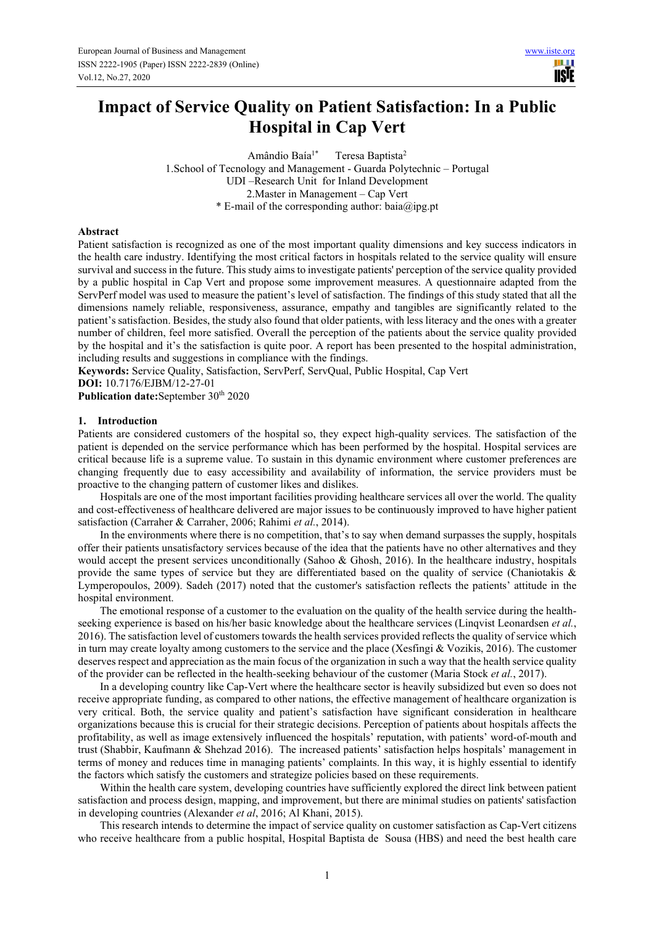# **Impact of Service Quality on Patient Satisfaction: In a Public Hospital in Cap Vert**

Amândio Baía<sup>1\*</sup> Teresa Baptista<sup>2</sup> 1.School of Tecnology and Management - Guarda Polytechnic – Portugal UDI –Research Unit for Inland Development 2.Master in Management – Cap Vert \* E-mail of the corresponding author: baia@ipg.pt

## **Abstract**

Patient satisfaction is recognized as one of the most important quality dimensions and key success indicators in the health care industry. Identifying the most critical factors in hospitals related to the service quality will ensure survival and success in the future. This study aims to investigate patients' perception of the service quality provided by a public hospital in Cap Vert and propose some improvement measures. A questionnaire adapted from the ServPerf model was used to measure the patient's level of satisfaction. The findings of this study stated that all the dimensions namely reliable, responsiveness, assurance, empathy and tangibles are significantly related to the patient's satisfaction. Besides, the study also found that older patients, with less literacy and the ones with a greater number of children, feel more satisfied. Overall the perception of the patients about the service quality provided by the hospital and it's the satisfaction is quite poor. A report has been presented to the hospital administration, including results and suggestions in compliance with the findings.

**Keywords:** Service Quality, Satisfaction, ServPerf, ServQual, Public Hospital, Cap Vert **DOI:** 10.7176/EJBM/12-27-01

Publication date:September 30<sup>th</sup> 2020

## **1. Introduction**

Patients are considered customers of the hospital so, they expect high-quality services. The satisfaction of the patient is depended on the service performance which has been performed by the hospital. Hospital services are critical because life is a supreme value. To sustain in this dynamic environment where customer preferences are changing frequently due to easy accessibility and availability of information, the service providers must be proactive to the changing pattern of customer likes and dislikes.

Hospitals are one of the most important facilities providing healthcare services all over the world. The quality and cost-effectiveness of healthcare delivered are major issues to be continuously improved to have higher patient satisfaction (Carraher & Carraher, 2006; Rahimi *et al.*, 2014).

In the environments where there is no competition, that's to say when demand surpasses the supply, hospitals offer their patients unsatisfactory services because of the idea that the patients have no other alternatives and they would accept the present services unconditionally (Sahoo & Ghosh, 2016). In the healthcare industry, hospitals provide the same types of service but they are differentiated based on the quality of service (Chaniotakis & Lymperopoulos, 2009). Sadeh (2017) noted that the customer's satisfaction reflects the patients' attitude in the hospital environment.

The emotional response of a customer to the evaluation on the quality of the health service during the healthseeking experience is based on his/her basic knowledge about the healthcare services (Linqvist Leonardsen *et al.*, 2016). The satisfaction level of customers towards the health services provided reflects the quality of service which in turn may create loyalty among customers to the service and the place (Xesfingi & Vozikis, 2016). The customer deserves respect and appreciation as the main focus of the organization in such a way that the health service quality of the provider can be reflected in the health-seeking behaviour of the customer (Maria Stock *et al.*, 2017).

In a developing country like Cap-Vert where the healthcare sector is heavily subsidized but even so does not receive appropriate funding, as compared to other nations, the effective management of healthcare organization is very critical. Both, the service quality and patient's satisfaction have significant consideration in healthcare organizations because this is crucial for their strategic decisions. Perception of patients about hospitals affects the profitability, as well as image extensively influenced the hospitals' reputation, with patients' word-of-mouth and trust (Shabbir, Kaufmann & Shehzad 2016). The increased patients' satisfaction helps hospitals' management in terms of money and reduces time in managing patients' complaints. In this way, it is highly essential to identify the factors which satisfy the customers and strategize policies based on these requirements.

Within the health care system, developing countries have sufficiently explored the direct link between patient satisfaction and process design, mapping, and improvement, but there are minimal studies on patients' satisfaction in developing countries (Alexander *et al*, 2016; Al Khani, 2015).

This research intends to determine the impact of service quality on customer satisfaction as Cap-Vert citizens who receive healthcare from a public hospital, Hospital Baptista de Sousa (HBS) and need the best health care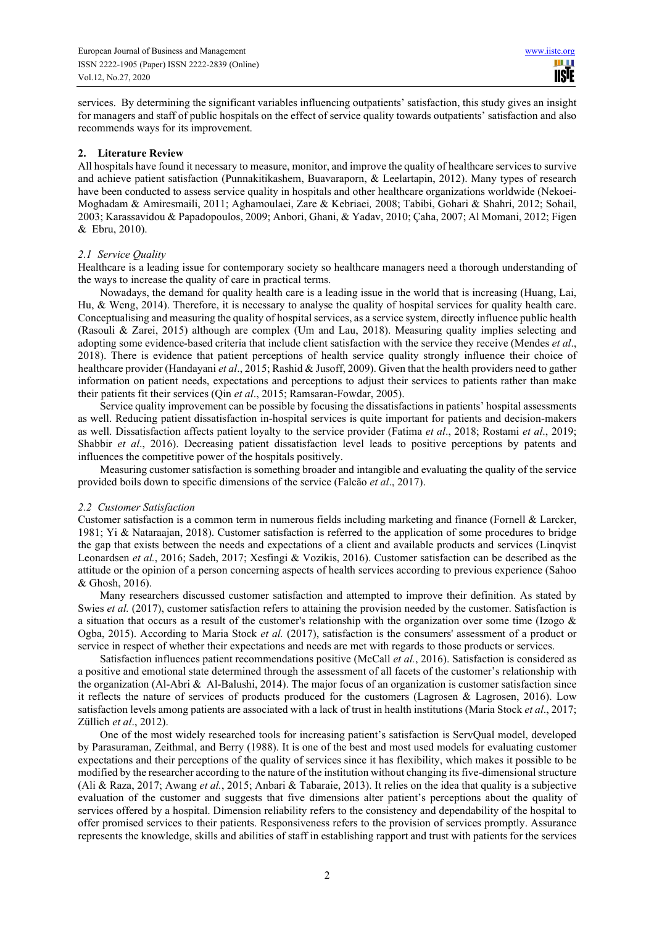services. By determining the significant variables influencing outpatients' satisfaction, this study gives an insight for managers and staff of public hospitals on the effect of service quality towards outpatients' satisfaction and also recommends ways for its improvement.

## **2. Literature Review**

All hospitals have found it necessary to measure, monitor, and improve the quality of healthcare services to survive and achieve patient satisfaction (Punnakitikashem, Buavaraporn, & Leelartapin, 2012). Many types of research have been conducted to assess service quality in hospitals and other healthcare organizations worldwide (Nekoei-Moghadam & Amiresmaili, 2011; Aghamoulaei, Zare & Kebriaei*,* 2008; Tabibi, Gohari & Shahri, 2012; Sohail, 2003; Karassavidou & Papadopoulos, 2009; Anbori, Ghani, & Yadav, 2010; Çaha, 2007; Al Momani, 2012; Figen & Ebru, 2010).

## *2.1 Service Quality*

Healthcare is a leading issue for contemporary society so healthcare managers need a thorough understanding of the ways to increase the quality of care in practical terms.

Nowadays, the demand for quality health care is a leading issue in the world that is increasing (Huang, Lai, Hu, & Weng, 2014). Therefore, it is necessary to analyse the quality of hospital services for quality health care. Conceptualising and measuring the quality of hospital services, as a service system, directly influence public health (Rasouli & Zarei, 2015) although are complex (Um and Lau, 2018). Measuring quality implies selecting and adopting some evidence-based criteria that include client satisfaction with the service they receive (Mendes *et al*., 2018). There is evidence that patient perceptions of health service quality strongly influence their choice of healthcare provider (Handayani *et al*., 2015; Rashid & Jusoff, 2009). Given that the health providers need to gather information on patient needs, expectations and perceptions to adjust their services to patients rather than make their patients fit their services (Qin *et al*., 2015; Ramsaran-Fowdar, 2005).

Service quality improvement can be possible by focusing the dissatisfactions in patients' hospital assessments as well. Reducing patient dissatisfaction in-hospital services is quite important for patients and decision-makers as well. Dissatisfaction affects patient loyalty to the service provider (Fatima *et al*., 2018; Rostami *et al*., 2019; Shabbir *et al*., 2016). Decreasing patient dissatisfaction level leads to positive perceptions by patents and influences the competitive power of the hospitals positively.

Measuring customer satisfaction is something broader and intangible and evaluating the quality of the service provided boils down to specific dimensions of the service (Falcão *et al*., 2017).

#### *2.2 Customer Satisfaction*

Customer satisfaction is a common term in numerous fields including marketing and finance (Fornell & Larcker, 1981; Yi & Nataraajan, 2018). Customer satisfaction is referred to the application of some procedures to bridge the gap that exists between the needs and expectations of a client and available products and services (Linqvist Leonardsen *et al.*, 2016; Sadeh, 2017; Xesfingi & Vozikis, 2016). Customer satisfaction can be described as the attitude or the opinion of a person concerning aspects of health services according to previous experience (Sahoo & Ghosh, 2016).

Many researchers discussed customer satisfaction and attempted to improve their definition. As stated by Swies *et al.* (2017), customer satisfaction refers to attaining the provision needed by the customer. Satisfaction is a situation that occurs as a result of the customer's relationship with the organization over some time (Izogo & Ogba, 2015). According to Maria Stock *et al.* (2017), satisfaction is the consumers' assessment of a product or service in respect of whether their expectations and needs are met with regards to those products or services.

Satisfaction influences patient recommendations positive (McCall *et al.*, 2016). Satisfaction is considered as a positive and emotional state determined through the assessment of all facets of the customer's relationship with the organization (Al-Abri  $\&$  Al-Balushi, 2014). The major focus of an organization is customer satisfaction since it reflects the nature of services of products produced for the customers (Lagrosen & Lagrosen, 2016). Low satisfaction levels among patients are associated with a lack of trust in health institutions (Maria Stock *et al*., 2017; Züllich *et al*., 2012).

One of the most widely researched tools for increasing patient's satisfaction is ServQual model, developed by Parasuraman, Zeithmal, and Berry (1988). It is one of the best and most used models for evaluating customer expectations and their perceptions of the quality of services since it has flexibility, which makes it possible to be modified by the researcher according to the nature of the institution without changing its five-dimensional structure (Ali & Raza, 2017; Awang *et al.*, 2015; Anbari & Tabaraie, 2013). It relies on the idea that quality is a subjective evaluation of the customer and suggests that five dimensions alter patient's perceptions about the quality of services offered by a hospital. Dimension reliability refers to the consistency and dependability of the hospital to offer promised services to their patients. Responsiveness refers to the provision of services promptly. Assurance represents the knowledge, skills and abilities of staff in establishing rapport and trust with patients for the services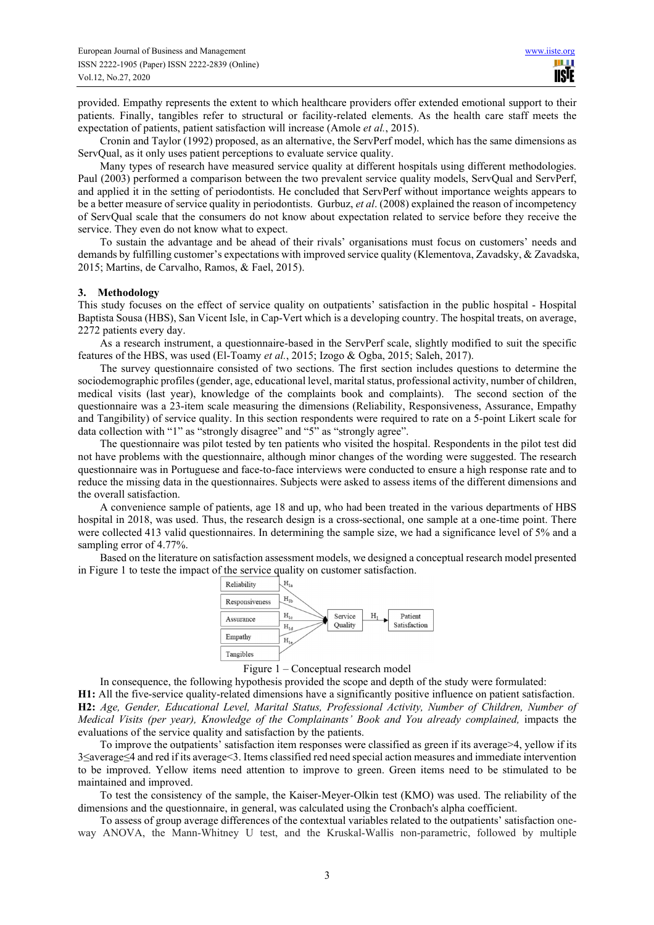provided. Empathy represents the extent to which healthcare providers offer extended emotional support to their patients. Finally, tangibles refer to structural or facility-related elements. As the health care staff meets the expectation of patients, patient satisfaction will increase (Amole *et al.*, 2015).

Cronin and Taylor (1992) proposed, as an alternative, the ServPerf model, which has the same dimensions as ServQual, as it only uses patient perceptions to evaluate service quality.

Many types of research have measured service quality at different hospitals using different methodologies. Paul (2003) performed a comparison between the two prevalent service quality models, ServQual and ServPerf, and applied it in the setting of periodontists. He concluded that ServPerf without importance weights appears to be a better measure of service quality in periodontists. Gurbuz, *et al*. (2008) explained the reason of incompetency of ServQual scale that the consumers do not know about expectation related to service before they receive the service. They even do not know what to expect.

To sustain the advantage and be ahead of their rivals' organisations must focus on customers' needs and demands by fulfilling customer's expectations with improved service quality (Klementova, Zavadsky, & Zavadska, 2015; Martins, de Carvalho, Ramos, & Fael, 2015).

## **3. Methodology**

This study focuses on the effect of service quality on outpatients' satisfaction in the public hospital - Hospital Baptista Sousa (HBS), San Vicent Isle, in Cap-Vert which is a developing country. The hospital treats, on average, 2272 patients every day.

As a research instrument, a questionnaire-based in the ServPerf scale, slightly modified to suit the specific features of the HBS, was used (El-Toamy *et al.*, 2015; Izogo & Ogba, 2015; Saleh, 2017).

The survey questionnaire consisted of two sections. The first section includes questions to determine the sociodemographic profiles (gender, age, educational level, marital status, professional activity, number of children, medical visits (last year), knowledge of the complaints book and complaints). The second section of the questionnaire was a 23-item scale measuring the dimensions (Reliability, Responsiveness, Assurance, Empathy and Tangibility) of service quality. In this section respondents were required to rate on a 5-point Likert scale for data collection with "1" as "strongly disagree" and "5" as "strongly agree".

The questionnaire was pilot tested by ten patients who visited the hospital. Respondents in the pilot test did not have problems with the questionnaire, although minor changes of the wording were suggested. The research questionnaire was in Portuguese and face-to-face interviews were conducted to ensure a high response rate and to reduce the missing data in the questionnaires. Subjects were asked to assess items of the different dimensions and the overall satisfaction.

A convenience sample of patients, age 18 and up, who had been treated in the various departments of HBS hospital in 2018, was used. Thus, the research design is a cross-sectional, one sample at a one-time point. There were collected 413 valid questionnaires. In determining the sample size, we had a significance level of 5% and a sampling error of 4.77%.

Based on the literature on satisfaction assessment models, we designed a conceptual research model presented in Figure 1 to teste the impact of the service quality on customer satisfaction.





In consequence, the following hypothesis provided the scope and depth of the study were formulated:

**H1:** All the five-service quality-related dimensions have a significantly positive influence on patient satisfaction. **H2:** *Age, Gender, Educational Level, Marital Status, Professional Activity, Number of Children, Number of Medical Visits (per year), Knowledge of the Complainants' Book and You already complained,* impacts the evaluations of the service quality and satisfaction by the patients.

To improve the outpatients' satisfaction item responses were classified as green if its average>4, yellow if its 3≤average≤4 and red if its average<3. Items classified red need special action measures and immediate intervention to be improved. Yellow items need attention to improve to green. Green items need to be stimulated to be maintained and improved.

To test the consistency of the sample, the Kaiser-Meyer-Olkin test (KMO) was used. The reliability of the dimensions and the questionnaire, in general, was calculated using the Cronbach's alpha coefficient.

To assess of group average differences of the contextual variables related to the outpatients' satisfaction oneway ANOVA, the Mann-Whitney U test, and the Kruskal-Wallis non-parametric, followed by multiple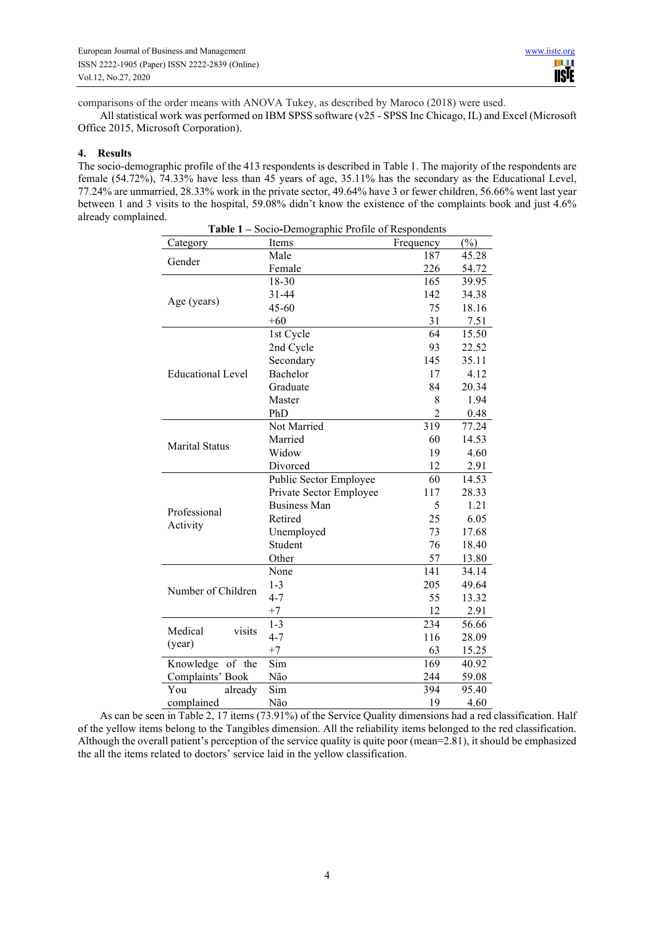comparisons of the order means with ANOVA Tukey, as described by Maroco (2018) were used.

All statistical work was performed on IBM SPSS software (v25 - SPSS Inc Chicago, IL) and Excel (Microsoft Office 2015, Microsoft Corporation).

## **4. Results**

The socio-demographic profile of the 413 respondents is described in Table 1. The majority of the respondents are female (54.72%), 74.33% have less than 45 years of age, 35.11% has the secondary as the Educational Level, 77.24% are unmarried, 28.33% work in the private sector, 49.64% have 3 or fewer children, 56.66% went last year between 1 and 3 visits to the hospital, 59.08% didn't know the existence of the complaints book and just 4.6% already complained. **Table 1 –** Socio**-**Demographic Profile of Respondents

| <b>Table 1 – Socio-Demographic Profile of Respondents</b> |                         |                  |        |  |  |  |
|-----------------------------------------------------------|-------------------------|------------------|--------|--|--|--|
| Category                                                  | Items                   | Frequency        | $(\%)$ |  |  |  |
| Gender                                                    | Male                    | 187              | 45.28  |  |  |  |
|                                                           | Female                  | 226              | 54.72  |  |  |  |
|                                                           | 18-30                   | 165              | 39.95  |  |  |  |
| Age (years)                                               | 31-44                   | 142              | 34.38  |  |  |  |
|                                                           | $45 - 60$               | 75               | 18.16  |  |  |  |
|                                                           | $+60$                   | 31               | 7.51   |  |  |  |
|                                                           | 1st Cycle               | 64               | 15.50  |  |  |  |
|                                                           | 2nd Cycle               | 93               | 22.52  |  |  |  |
|                                                           | Secondary               | 145              | 35.11  |  |  |  |
| <b>Educational Level</b>                                  | Bachelor                | 17               | 4.12   |  |  |  |
|                                                           | Graduate                | 84               | 20.34  |  |  |  |
|                                                           | Master                  | 8                | 1.94   |  |  |  |
|                                                           | PhD                     | $\overline{2}$   | 0.48   |  |  |  |
|                                                           | Not Married             | $\overline{319}$ | 77.24  |  |  |  |
|                                                           | Married                 | 60               | 14.53  |  |  |  |
| <b>Marital Status</b>                                     | Widow                   | 19               | 4.60   |  |  |  |
|                                                           | Divorced                | 12               | 2.91   |  |  |  |
|                                                           | Public Sector Employee  | 60               | 14.53  |  |  |  |
|                                                           | Private Sector Employee | 117              | 28.33  |  |  |  |
|                                                           | <b>Business Man</b>     | 5                | 1.21   |  |  |  |
| Professional                                              | Retired                 | 25               | 6.05   |  |  |  |
| Activity                                                  | Unemployed              | 73               | 17.68  |  |  |  |
|                                                           | Student                 | 76               | 18.40  |  |  |  |
|                                                           | Other                   | 57               | 13.80  |  |  |  |
|                                                           | None                    | 141              | 34.14  |  |  |  |
|                                                           | $1 - 3$                 | 205              | 49.64  |  |  |  |
| Number of Children                                        | $4 - 7$                 | 55               | 13.32  |  |  |  |
|                                                           | $+7$                    | 12               | 2.91   |  |  |  |
|                                                           | $1 - 3$                 | 234              | 56.66  |  |  |  |
| Medical<br>visits                                         | $4 - 7$                 | 116              | 28.09  |  |  |  |
| (year)                                                    | $+7$                    | 63               | 15.25  |  |  |  |
| Knowledge of the                                          | Sim                     | 169              | 40.92  |  |  |  |
| Complaints' Book                                          | Não                     | 244              | 59.08  |  |  |  |
| You<br>already                                            | Sim                     | 394              | 95.40  |  |  |  |
| complained                                                | Não                     | 19               | 4.60   |  |  |  |

As can be seen in Table 2, 17 items (73.91%) of the Service Quality dimensions had a red classification. Half of the yellow items belong to the Tangibles dimension. All the reliability items belonged to the red classification. Although the overall patient's perception of the service quality is quite poor (mean=2.81), it should be emphasized the all the items related to doctors' service laid in the yellow classification.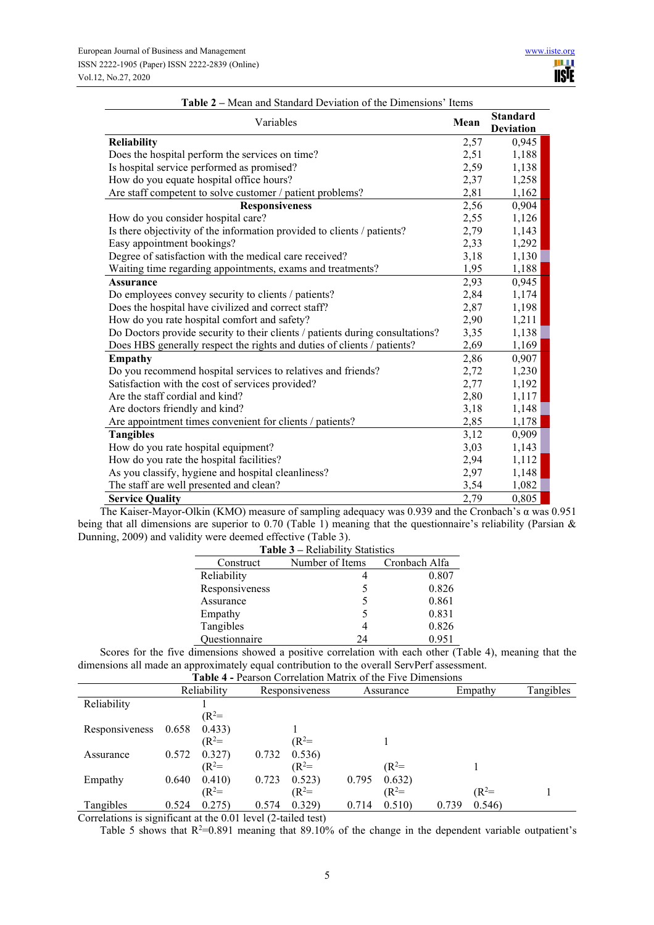| Variables                                                                     | Mean | <b>Standard</b><br><b>Deviation</b> |
|-------------------------------------------------------------------------------|------|-------------------------------------|
| <b>Reliability</b>                                                            | 2,57 | 0,945                               |
| Does the hospital perform the services on time?                               | 2,51 | 1,188                               |
| Is hospital service performed as promised?                                    | 2,59 | 1,138                               |
| How do you equate hospital office hours?                                      | 2,37 | 1,258                               |
| Are staff competent to solve customer / patient problems?                     | 2,81 | 1,162                               |
| <b>Responsiveness</b>                                                         | 2,56 | 0,904                               |
| How do you consider hospital care?                                            | 2,55 | 1,126                               |
| Is there objectivity of the information provided to clients / patients?       | 2,79 | 1,143                               |
| Easy appointment bookings?                                                    | 2,33 | 1,292                               |
| Degree of satisfaction with the medical care received?                        | 3,18 | 1,130                               |
| Waiting time regarding appointments, exams and treatments?                    | 1,95 | 1,188                               |
| <b>Assurance</b>                                                              | 2,93 | 0,945                               |
| Do employees convey security to clients / patients?                           | 2,84 | 1,174                               |
| Does the hospital have civilized and correct staff?                           | 2,87 | 1,198                               |
| How do you rate hospital comfort and safety?                                  | 2,90 | 1,211                               |
| Do Doctors provide security to their clients / patients during consultations? | 3,35 | 1,138                               |
| Does HBS generally respect the rights and duties of clients / patients?       | 2,69 | 1,169                               |
| <b>Empathy</b>                                                                | 2,86 | 0,907                               |
| Do you recommend hospital services to relatives and friends?                  | 2,72 | 1,230                               |
| Satisfaction with the cost of services provided?                              | 2,77 | 1,192                               |
| Are the staff cordial and kind?                                               | 2,80 | 1,117                               |
| Are doctors friendly and kind?                                                | 3,18 | 1,148                               |
| Are appointment times convenient for clients / patients?                      | 2,85 | 1,178                               |
| <b>Tangibles</b>                                                              | 3,12 | 0,909                               |
| How do you rate hospital equipment?                                           | 3,03 | 1,143                               |
| How do you rate the hospital facilities?                                      | 2,94 | 1,112                               |
| As you classify, hygiene and hospital cleanliness?                            | 2,97 | 1,148                               |
| The staff are well presented and clean?                                       | 3,54 | 1,082                               |
| <b>Service Quality</b>                                                        | 2,79 | 0,805                               |

#### **Table 2 –** Mean and Standard Deviation of the Dimensions' Items

The Kaiser-Mayor-Olkin (KMO) measure of sampling adequacy was 0.939 and the Cronbach's α was 0.951 being that all dimensions are superior to 0.70 (Table 1) meaning that the questionnaire's reliability (Parsian & Dunning, 2009) and validity were deemed effective (Table 3).

| <b>Table 3 – Reliability Statistics</b>    |    |       |  |  |  |  |  |
|--------------------------------------------|----|-------|--|--|--|--|--|
| Number of Items Cronbach Alfa<br>Construct |    |       |  |  |  |  |  |
| Reliability                                |    | 0.807 |  |  |  |  |  |
| Responsiveness                             |    | 0.826 |  |  |  |  |  |
| Assurance                                  |    | 0.861 |  |  |  |  |  |
| Empathy                                    |    | 0.831 |  |  |  |  |  |
| Tangibles                                  |    | 0.826 |  |  |  |  |  |
| Questionnaire                              | 24 | 0.951 |  |  |  |  |  |

Scores for the five dimensions showed a positive correlation with each other (Table 4), meaning that the dimensions all made an approximately equal contribution to the overall ServPerf assessment.

| <b>Table 4 - Pearson Correlation Matrix of the Five Dimensions</b> |       |             |       |                |       |           |       |         |           |
|--------------------------------------------------------------------|-------|-------------|-------|----------------|-------|-----------|-------|---------|-----------|
|                                                                    |       | Reliability |       | Responsiveness |       | Assurance |       | Empathy | Tangibles |
| Reliability                                                        |       |             |       |                |       |           |       |         |           |
|                                                                    |       | $(R^2=$     |       |                |       |           |       |         |           |
| Responsiveness                                                     | 0.658 | 0.433)      |       |                |       |           |       |         |           |
|                                                                    |       | $(R^2=$     |       | $(R^2=$        |       |           |       |         |           |
| Assurance                                                          | 0.572 | 0.327)      | 0.732 | 0.536)         |       |           |       |         |           |
|                                                                    |       | $(R^2=$     |       | $(R^2=$        |       | $(R^2=$   |       |         |           |
| Empathy                                                            | 0.640 | 0.410)      | 0.723 | 0.523)         | 0.795 | 0.632)    |       |         |           |
|                                                                    |       | $(R^2=$     |       | $(R^2=$        |       | $(R^2=$   |       | $(R^2=$ |           |
| Tangibles                                                          | 0.524 | 0.275)      | 0.574 | 0.329          | 0.714 | 0.510)    | 0.739 | 0.546   |           |

Correlations is significant at the 0.01 level (2-tailed test)

Table 5 shows that  $R^2=0.891$  meaning that 89.10% of the change in the dependent variable outpatient's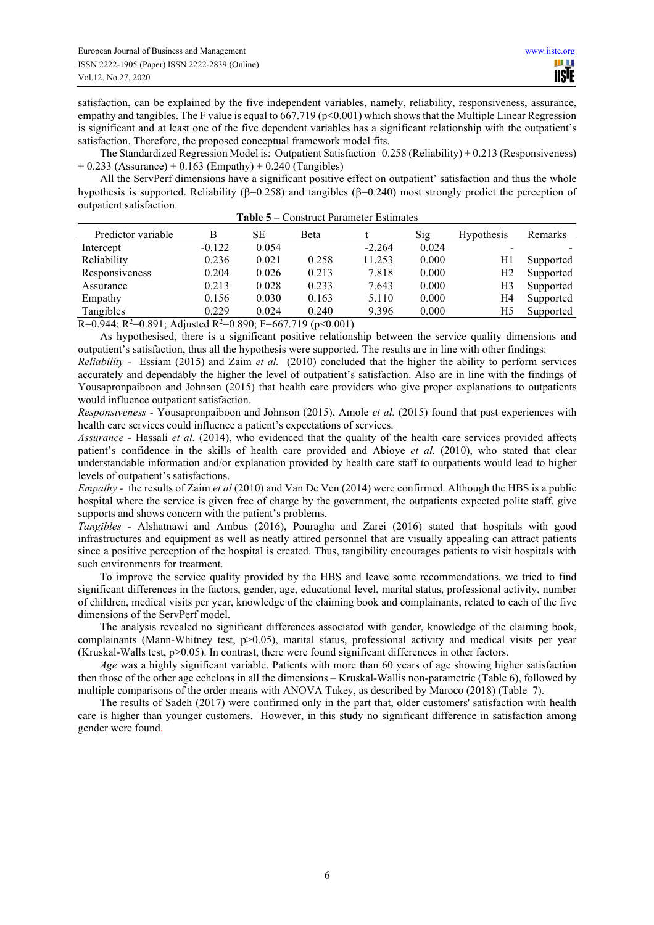satisfaction, can be explained by the five independent variables, namely, reliability, responsiveness, assurance, empathy and tangibles. The F value is equal to  $667.719$  (p<0.001) which shows that the Multiple Linear Regression is significant and at least one of the five dependent variables has a significant relationship with the outpatient's satisfaction. Therefore, the proposed conceptual framework model fits.

The Standardized Regression Model is: Outpatient Satisfaction=0.258 (Reliability) + 0.213 (Responsiveness)  $+ 0.233$  (Assurance)  $+ 0.163$  (Empathy)  $+ 0.240$  (Tangibles)

All the ServPerf dimensions have a significant positive effect on outpatient' satisfaction and thus the whole hypothesis is supported. Reliability ( $\beta$ =0.258) and tangibles ( $\beta$ =0.240) most strongly predict the perception of outpatient satisfaction.

| Predictor variable | В        | SЕ    | Beta  |          | Sig   | <b>Hypothesis</b> | Remarks   |
|--------------------|----------|-------|-------|----------|-------|-------------------|-----------|
| Intercept          | $-0.122$ | 0.054 |       | $-2.264$ | 0.024 |                   |           |
| Reliability        | 0.236    | 0.021 | 0.258 | 11.253   | 0.000 | H1                | Supported |
| Responsiveness     | 0.204    | 0.026 | 0.213 | 7.818    | 0.000 | Η2                | Supported |
| Assurance          | 0.213    | 0.028 | 0.233 | 7.643    | 0.000 | H3                | Supported |
| Empathy            | 0.156    | 0.030 | 0.163 | 5.110    | 0.000 | H4                | Supported |
| Tangibles          | 0.229    | 0.024 | 0.240 | 9.396    | 0.000 | H5                | Supported |

| Table 5 – Construct Parameter Estimates |
|-----------------------------------------|
|-----------------------------------------|

R=0.944; R<sup>2</sup>=0.891; Adjusted R<sup>2</sup>=0.890; F=667.719 (p<0.001)

As hypothesised, there is a significant positive relationship between the service quality dimensions and outpatient's satisfaction, thus all the hypothesis were supported. The results are in line with other findings:

*Reliability -* Essiam (2015) and Zaim *et al.* (2010) concluded that the higher the ability to perform services accurately and dependably the higher the level of outpatient's satisfaction. Also are in line with the findings of Yousapronpaiboon and Johnson (2015) that health care providers who give proper explanations to outpatients would influence outpatient satisfaction.

*Responsiveness -* Yousapronpaiboon and Johnson (2015), Amole *et al.* (2015) found that past experiences with health care services could influence a patient's expectations of services.

*Assurance -* Hassali *et al.* (2014), who evidenced that the quality of the health care services provided affects patient's confidence in the skills of health care provided and Abioye *et al.* (2010), who stated that clear understandable information and/or explanation provided by health care staff to outpatients would lead to higher levels of outpatient's satisfactions.

*Empathy -* the results of Zaim *et al* (2010) and Van De Ven (2014) were confirmed. Although the HBS is a public hospital where the service is given free of charge by the government, the outpatients expected polite staff, give supports and shows concern with the patient's problems.

*Tangibles -* Alshatnawi and Ambus (2016), Pouragha and Zarei (2016) stated that hospitals with good infrastructures and equipment as well as neatly attired personnel that are visually appealing can attract patients since a positive perception of the hospital is created. Thus, tangibility encourages patients to visit hospitals with such environments for treatment.

To improve the service quality provided by the HBS and leave some recommendations, we tried to find significant differences in the factors, gender, age, educational level, marital status, professional activity, number of children, medical visits per year, knowledge of the claiming book and complainants, related to each of the five dimensions of the ServPerf model.

The analysis revealed no significant differences associated with gender, knowledge of the claiming book, complainants (Mann-Whitney test, p>0.05), marital status, professional activity and medical visits per year (Kruskal-Walls test, p>0.05). In contrast, there were found significant differences in other factors.

*Age* was a highly significant variable. Patients with more than 60 years of age showing higher satisfaction then those of the other age echelons in all the dimensions – Kruskal-Wallis non-parametric (Table 6), followed by multiple comparisons of the order means with ANOVA Tukey, as described by Maroco (2018) (Table 7).

The results of Sadeh (2017) were confirmed only in the part that, older customers' satisfaction with health care is higher than younger customers. However, in this study no significant difference in satisfaction among gender were found.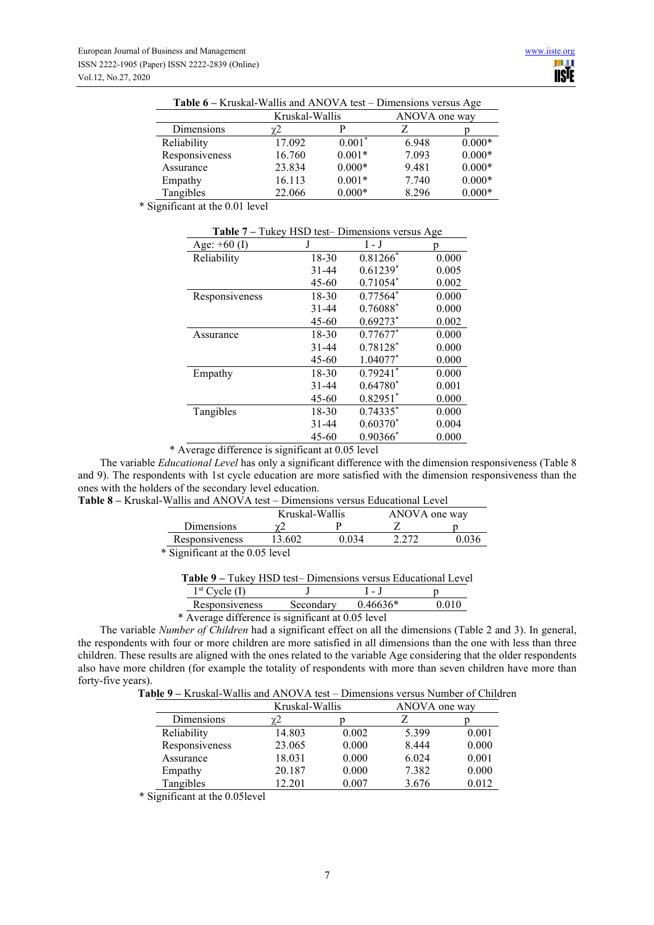| $P$ <i>HH</i> enbronb $P$ . The $P$ |               |          |       |          |  |  |
|-------------------------------------|---------------|----------|-------|----------|--|--|
|                                     | ANOVA one way |          |       |          |  |  |
| Dimensions                          | $\gamma$ 2    |          |       |          |  |  |
| Reliability                         | 17.092        | $0.001*$ | 6.948 | $0.000*$ |  |  |
| Responsiveness                      | 16.760        | $0.001*$ | 7.093 | $0.000*$ |  |  |
| Assurance                           | 23.834        | $0.000*$ | 9.481 | $0.000*$ |  |  |
| Empathy                             | 16.113        | $0.001*$ | 7.740 | $0.000*$ |  |  |
| Tangibles                           | 22.066        | $0.000*$ | 8.296 | $0.000*$ |  |  |

**Table 6 –** Kruskal-Wallis and ANOVA test – Dimensions versus Age

\* Significant at the 0.01 level

| <b>Table</b> $t - 1$ and $\pi$ and $\pi$ is the Difficult signs versus Age |           |                        |       |  |  |  |
|----------------------------------------------------------------------------|-----------|------------------------|-------|--|--|--|
| Age: $+60$ (I)                                                             | J         | $I - J$                | n     |  |  |  |
| Reliability                                                                | 18-30     | $0.81266*$             | 0.000 |  |  |  |
|                                                                            | $31 - 44$ | $0.61239*$             | 0.005 |  |  |  |
|                                                                            | $45 - 60$ | $0.71054*$             | 0.002 |  |  |  |
| Responsiveness                                                             | 18-30     | $0.77564*$             | 0.000 |  |  |  |
|                                                                            | $31 - 44$ | 0.76088*               | 0.000 |  |  |  |
|                                                                            | $45 - 60$ | $0.69273$ <sup>*</sup> | 0.002 |  |  |  |
| Assurance                                                                  | $18 - 30$ | $0.77677*$             | 0.000 |  |  |  |
|                                                                            | $31 - 44$ | 0.78128*               | 0.000 |  |  |  |
|                                                                            | $45 - 60$ | 1.04077*               | 0.000 |  |  |  |
| Empathy                                                                    | $18 - 30$ | $0.79241$ <sup>*</sup> | 0.000 |  |  |  |
|                                                                            | $31 - 44$ | $0.64780*$             | 0.001 |  |  |  |
|                                                                            | $45 - 60$ | $0.82951*$             | 0.000 |  |  |  |
| Tangibles                                                                  | 18-30     | $0.74335*$             | 0.000 |  |  |  |
|                                                                            | $31 - 44$ | $0.60370*$             | 0.004 |  |  |  |
|                                                                            | 45-60     | $0.90366^*$            | 0.000 |  |  |  |

**Table 7 –** Tukey HSD test– Dimensions versus Age

\* Average difference is significant at 0.05 level

The variable *Educational Level* has only a significant difference with the dimension responsiveness (Table 8 and 9). The respondents with 1st cycle education are more satisfied with the dimension responsiveness than the ones with the holders of the secondary level education. **Table 8 – Kruskal-**

| -Wallis and ANOVA test – Dimensions versus Educational Level |                                 |       |       |       |  |  |  |
|--------------------------------------------------------------|---------------------------------|-------|-------|-------|--|--|--|
|                                                              | Kruskal-Wallis<br>ANOVA one way |       |       |       |  |  |  |
| Dimensions                                                   |                                 |       |       |       |  |  |  |
| Responsiveness                                               | 13.602                          | 0.034 | 2.272 | 0.036 |  |  |  |
| * Significant at the 0.05 level                              |                                 |       |       |       |  |  |  |

| <b>Table 9 – Tukey HSD test– Dimensions versus Educational Level</b> |  |
|----------------------------------------------------------------------|--|
|----------------------------------------------------------------------|--|

| $1st$ Cycle (I)                                   |           | $\mathbf{I} = \mathbf{J}$ |       |
|---------------------------------------------------|-----------|---------------------------|-------|
| Responsiveness                                    | Secondary | $0.46636*$                | 0.010 |
| * Average difference is significant at 0.05 level |           |                           |       |

The variable *Number of Children* had a significant effect on all the dimensions (Table 2 and 3). In general, the respondents with four or more children are more satisfied in all dimensions than the one with less than three children. These results are aligned with the ones related to the variable Age considering that the older respondents also have more children (for example the totality of respondents with more than seven children have more than forty-five years).

**Table 9 –** Kruskal-Wallis and ANOVA test – Dimensions versus Number of Children

|                | Kruskal-Wallis |       | ANOVA one way |       |
|----------------|----------------|-------|---------------|-------|
| Dimensions     | γ2             |       |               |       |
| Reliability    | 14.803         | 0.002 | 5.399         | 0.001 |
| Responsiveness | 23.065         | 0.000 | 8.444         | 0.000 |
| Assurance      | 18.031         | 0.000 | 6.024         | 0.001 |
| Empathy        | 20.187         | 0.000 | 7.382         | 0.000 |
| Tangibles      | 12.201         | 0.007 | 3.676         | 0.012 |

\* Significant at the 0.05level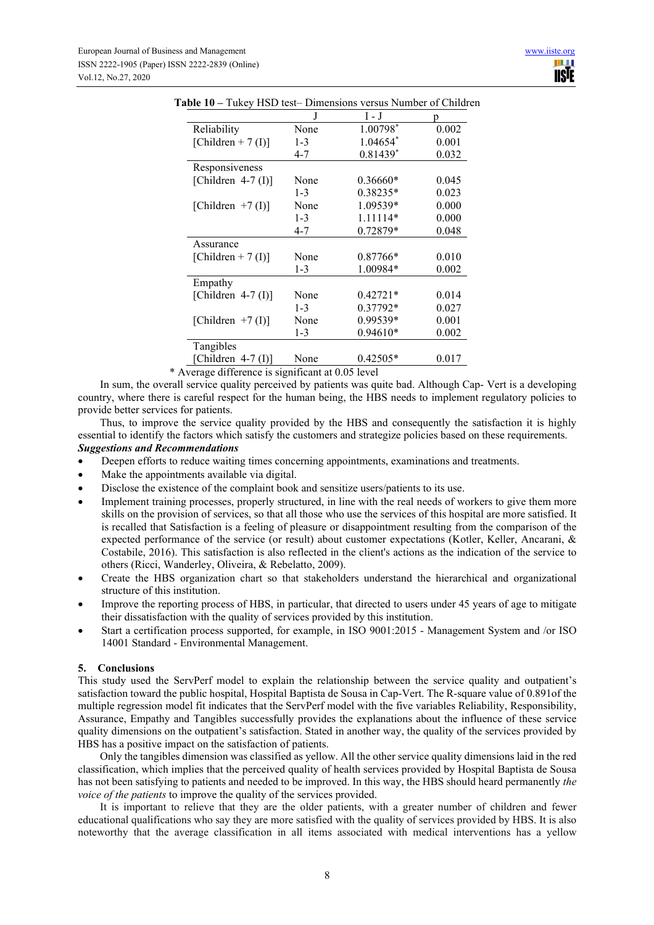|                       | J       | $\boldsymbol{\mathrm{I}}$ - $\boldsymbol{\mathrm{J}}$ | D     |
|-----------------------|---------|-------------------------------------------------------|-------|
| Reliability           | None    | 1.00798*                                              | 0.002 |
| [Children + 7 (I)]    | $1 - 3$ | 1.04654*                                              | 0.001 |
|                       | $4 - 7$ | $0.81439*$                                            | 0.032 |
| Responsiveness        |         |                                                       |       |
| [Children $4-7$ (I)]  | None    | $0.36660*$                                            | 0.045 |
|                       | $1 - 3$ | 0.38235*                                              | 0.023 |
| [Children $+7$ (I)]   | None    | 1.09539*                                              | 0.000 |
|                       | $1 - 3$ | 1.11114*                                              | 0.000 |
|                       | $4 - 7$ | 0.72879*                                              | 0.048 |
| Assurance             |         |                                                       |       |
| [Children + 7 $(I)$ ] | None    | 0.87766*                                              | 0.010 |
|                       | $1 - 3$ | 1.00984*                                              | 0.002 |
| Empathy               |         |                                                       |       |
| [Children $4-7$ (I)]  | None    | $0.42721*$                                            | 0.014 |
|                       | $1 - 3$ | 0.37792*                                              | 0.027 |
| [Children $+7$ (I)]   | None    | 0.99539*                                              | 0.001 |
|                       | $1 - 3$ | $0.94610*$                                            | 0.002 |
| Tangibles             |         |                                                       |       |
| [Children $4-7$ (I)]  | None    | $0.42505*$                                            | 0.017 |

**Table 10 –** Tukey HSD test– Dimensions versus Number of Children

\* Average difference is significant at 0.05 level

In sum, the overall service quality perceived by patients was quite bad. Although Cap- Vert is a developing country, where there is careful respect for the human being, the HBS needs to implement regulatory policies to provide better services for patients.

Thus, to improve the service quality provided by the HBS and consequently the satisfaction it is highly essential to identify the factors which satisfy the customers and strategize policies based on these requirements. *Suggestions and Recommendations* 

Deepen efforts to reduce waiting times concerning appointments, examinations and treatments.

- Make the appointments available via digital.
- Disclose the existence of the complaint book and sensitize users/patients to its use.
- Implement training processes, properly structured, in line with the real needs of workers to give them more skills on the provision of services, so that all those who use the services of this hospital are more satisfied. It is recalled that Satisfaction is a feeling of pleasure or disappointment resulting from the comparison of the expected performance of the service (or result) about customer expectations (Kotler, Keller, Ancarani, & Costabile, 2016). This satisfaction is also reflected in the client's actions as the indication of the service to others (Ricci, Wanderley, Oliveira, & Rebelatto, 2009).
- Create the HBS organization chart so that stakeholders understand the hierarchical and organizational structure of this institution.
- Improve the reporting process of HBS, in particular, that directed to users under 45 years of age to mitigate their dissatisfaction with the quality of services provided by this institution.
- Start a certification process supported, for example, in ISO 9001:2015 Management System and /or ISO 14001 Standard - Environmental Management.

# **5. Conclusions**

This study used the ServPerf model to explain the relationship between the service quality and outpatient's satisfaction toward the public hospital, Hospital Baptista de Sousa in Cap-Vert. The R-square value of 0.891of the multiple regression model fit indicates that the ServPerf model with the five variables Reliability, Responsibility, Assurance, Empathy and Tangibles successfully provides the explanations about the influence of these service quality dimensions on the outpatient's satisfaction. Stated in another way, the quality of the services provided by HBS has a positive impact on the satisfaction of patients.

Only the tangibles dimension was classified as yellow. All the other service quality dimensions laid in the red classification, which implies that the perceived quality of health services provided by Hospital Baptista de Sousa has not been satisfying to patients and needed to be improved. In this way, the HBS should heard permanently *the voice of the patients* to improve the quality of the services provided.

It is important to relieve that they are the older patients, with a greater number of children and fewer educational qualifications who say they are more satisfied with the quality of services provided by HBS. It is also noteworthy that the average classification in all items associated with medical interventions has a yellow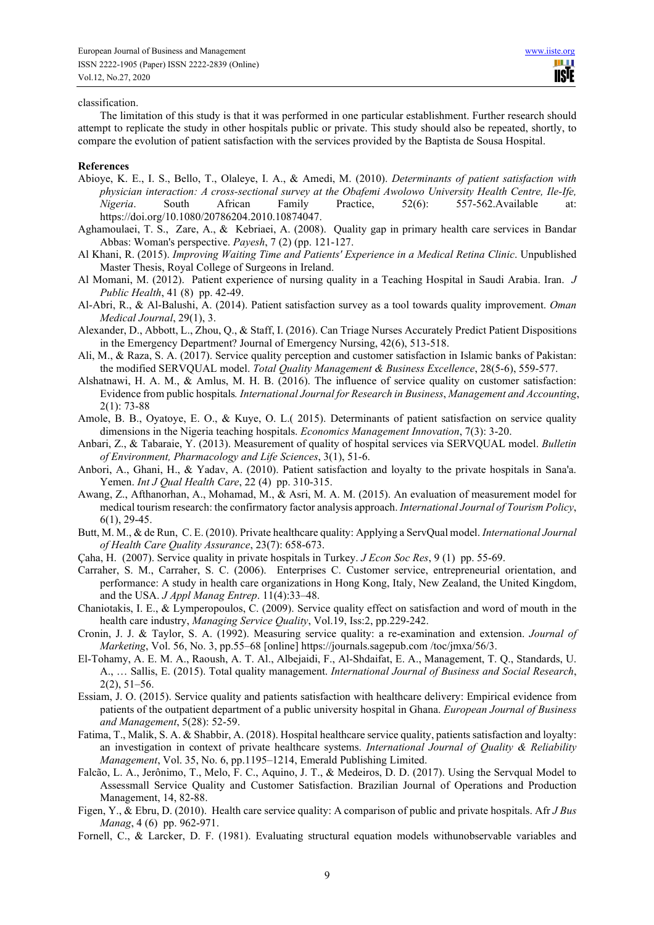#### classification.

The limitation of this study is that it was performed in one particular establishment. Further research should attempt to replicate the study in other hospitals public or private. This study should also be repeated, shortly, to compare the evolution of patient satisfaction with the services provided by the Baptista de Sousa Hospital.

#### **References**

- Abioye, K. E., I. S., Bello, T., Olaleye, I. A., & Amedi, M. (2010). *Determinants of patient satisfaction with physician interaction: A cross-sectional survey at the Obafemi Awolowo University Health Centre, Ile-Ife, Nigeria*. South African Family Practice, 52(6): 557-562.Available at: https://doi.org/10.1080/20786204.2010.10874047.
- Aghamoulaei, T. S., Zare, A., & Kebriaei, A. (2008). Quality gap in primary health care services in Bandar Abbas: Woman's perspective. *Payesh*, 7 (2) (pp. 121-127.
- Al Khani, R. (2015). *Improving Waiting Time and Patients' Experience in a Medical Retina Clinic*. Unpublished Master Thesis, Royal College of Surgeons in Ireland.
- Al Momani, M. (2012). Patient experience of nursing quality in a Teaching Hospital in Saudi Arabia. Iran. *J Public Health*, 41 (8) pp. 42-49.
- Al-Abri, R., & Al-Balushi, A. (2014). Patient satisfaction survey as a tool towards quality improvement. *Oman Medical Journal*, 29(1), 3.
- Alexander, D., Abbott, L., Zhou, Q., & Staff, I. (2016). Can Triage Nurses Accurately Predict Patient Dispositions in the Emergency Department? Journal of Emergency Nursing, 42(6), 513-518.
- Ali, M., & Raza, S. A. (2017). Service quality perception and customer satisfaction in Islamic banks of Pakistan: the modified SERVQUAL model. *Total Quality Management & Business Excellence*, 28(5-6), 559-577.
- Alshatnawi, H. A. M., & Amlus, M. H. B. (2016). The influence of service quality on customer satisfaction: Evidence from public hospitals*. International Journal for Research in Business*, *Management and Accounting*, 2(1): 73-88
- Amole, B. B., Oyatoye, E. O., & Kuye, O. L.( 2015). Determinants of patient satisfaction on service quality dimensions in the Nigeria teaching hospitals. *Economics Management Innovation*, 7(3): 3-20.
- Anbari, Z., & Tabaraie, Y. (2013). Measurement of quality of hospital services via SERVQUAL model. *Bulletin of Environment, Pharmacology and Life Sciences*, 3(1), 51-6.
- Anbori, A., Ghani, H., & Yadav, A. (2010). Patient satisfaction and loyalty to the private hospitals in Sana'a. Yemen. *Int J Qual Health Care*, 22 (4) pp. 310-315.
- Awang, Z., Afthanorhan, A., Mohamad, M., & Asri, M. A. M. (2015). An evaluation of measurement model for medical tourism research: the confirmatory factor analysis approach. *International Journal of Tourism Policy*, 6(1), 29-45.
- Butt, M. M., & de Run, C. E. (2010). Private healthcare quality: Applying a ServQual model. *International Journal of Health Care Quality Assurance*, 23(7): 658-673.
- Çaha, H. (2007). Service quality in private hospitals in Turkey. *J Econ Soc Res*, 9 (1) pp. 55-69.
- Carraher, S. M., Carraher, S. C. (2006). Enterprises C. Customer service, entrepreneurial orientation, and performance: A study in health care organizations in Hong Kong, Italy, New Zealand, the United Kingdom, and the USA. *J Appl Manag Entrep*. 11(4):33–48.
- Chaniotakis, I. E., & Lymperopoulos, C. (2009). Service quality effect on satisfaction and word of mouth in the health care industry, *Managing Service Quality*, Vol.19, Iss:2, pp.229-242.
- Cronin, J. J. & Taylor, S. A. (1992). Measuring service quality: a re-examination and extension. *Journal of Marketing*, Vol. 56, No. 3, pp.55–68 [online] https://journals.sagepub.com /toc/jmxa/56/3.
- El-Tohamy, A. E. M. A., Raoush, A. T. Al., Albejaidi, F., Al-Shdaifat, E. A., Management, T. Q., Standards, U. A., … Sallis, E. (2015). Total quality management. *International Journal of Business and Social Research*, 2(2), 51–56.
- Essiam, J. O. (2015). Service quality and patients satisfaction with healthcare delivery: Empirical evidence from patients of the outpatient department of a public university hospital in Ghana. *European Journal of Business and Management*, 5(28): 52-59.
- Fatima, T., Malik, S. A. & Shabbir, A. (2018). Hospital healthcare service quality, patients satisfaction and loyalty: an investigation in context of private healthcare systems. *International Journal of Quality & Reliability Management*, Vol. 35, No. 6, pp.1195–1214, Emerald Publishing Limited.
- Falcão, L. A., Jerônimo, T., Melo, F. C., Aquino, J. T., & Medeiros, D. D. (2017). Using the Servqual Model to Assessmall Service Quality and Customer Satisfaction. Brazilian Journal of Operations and Production Management, 14, 82-88.
- Figen, Y., & Ebru, D. (2010). Health care service quality: A comparison of public and private hospitals. Afr *J Bus Manag*, 4 (6) pp. 962-971.
- Fornell, C., & Larcker, D. F. (1981). Evaluating structural equation models withunobservable variables and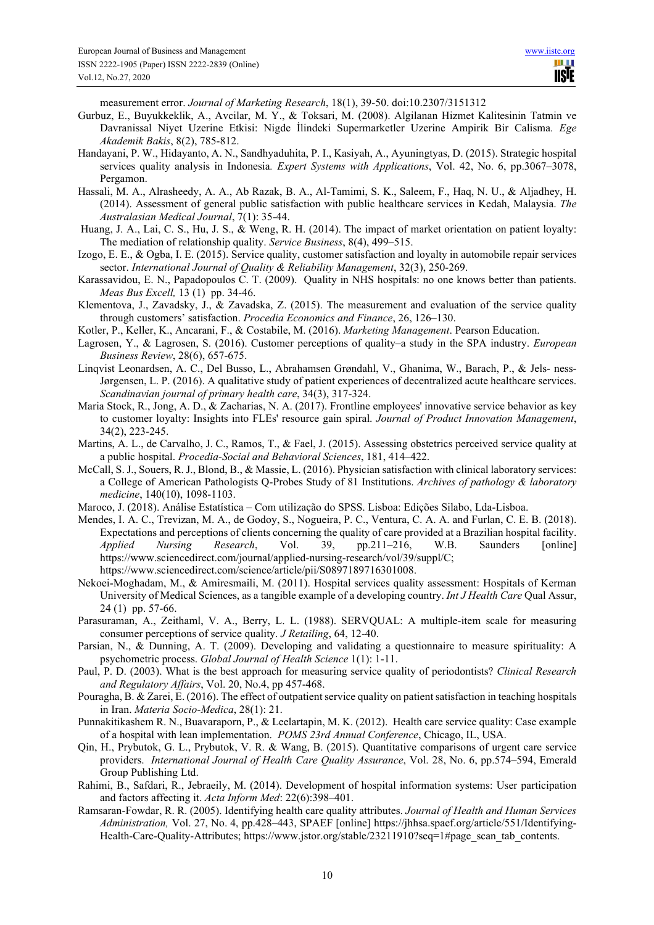measurement error. *Journal of Marketing Research*, 18(1), 39-50. doi:10.2307/3151312

- Gurbuz, E., Buyukkeklik, A., Avcilar, M. Y., & Toksari, M. (2008). Algilanan Hizmet Kalitesinin Tatmin ve Davranissal Niyet Uzerine Etkisi: Nigde İlindeki Supermarketler Uzerine Ampirik Bir Calisma*. Ege Akademik Bakis*, 8(2), 785-812.
- Handayani, P. W., Hidayanto, A. N., Sandhyaduhita, P. I., Kasiyah, A., Ayuningtyas, D. (2015). Strategic hospital services quality analysis in Indonesia*. Expert Systems with Applications*, Vol. 42, No. 6, pp.3067–3078, Pergamon.
- Hassali, M. A., Alrasheedy, A. A., Ab Razak, B. A., Al-Tamimi, S. K., Saleem, F., Haq, N. U., & Aljadhey, H. (2014). Assessment of general public satisfaction with public healthcare services in Kedah, Malaysia. *The Australasian Medical Journal*, 7(1): 35-44.
- Huang, J. A., Lai, C. S., Hu, J. S., & Weng, R. H. (2014). The impact of market orientation on patient loyalty: The mediation of relationship quality. *Service Business*, 8(4), 499–515.
- Izogo, E. E., & Ogba, I. E. (2015). Service quality, customer satisfaction and loyalty in automobile repair services sector. *International Journal of Quality & Reliability Management*, 32(3), 250-269.
- Karassavidou, E. N., Papadopoulos C. T. (2009). Quality in NHS hospitals: no one knows better than patients. *Meas Bus Excell,* 13 (1) pp. 34-46.
- Klementova, J., Zavadsky, J., & Zavadska, Z. (2015). The measurement and evaluation of the service quality through customers' satisfaction. *Procedia Economics and Finance*, 26, 126–130.
- Kotler, P., Keller, K., Ancarani, F., & Costabile, M. (2016). *Marketing Management*. Pearson Education.
- Lagrosen, Y., & Lagrosen, S. (2016). Customer perceptions of quality–a study in the SPA industry. *European Business Review*, 28(6), 657-675.
- Linqvist Leonardsen, A. C., Del Busso, L., Abrahamsen Grøndahl, V., Ghanima, W., Barach, P., & Jels- ness-Jørgensen, L. P. (2016). A qualitative study of patient experiences of decentralized acute healthcare services. *Scandinavian journal of primary health care*, 34(3), 317-324.
- Maria Stock, R., Jong, A. D., & Zacharias, N. A. (2017). Frontline employees' innovative service behavior as key to customer loyalty: Insights into FLEs' resource gain spiral. *Journal of Product Innovation Management*, 34(2), 223-245.
- Martins, A. L., de Carvalho, J. C., Ramos, T., & Fael, J. (2015). Assessing obstetrics perceived service quality at a public hospital. *Procedia-Social and Behavioral Sciences*, 181, 414–422.
- McCall, S. J., Souers, R. J., Blond, B., & Massie, L. (2016). Physician satisfaction with clinical laboratory services: a College of American Pathologists Q-Probes Study of 81 Institutions. *Archives of pathology & laboratory medicine*, 140(10), 1098-1103.
- Maroco, J. (2018). Análise Estatística Com utilização do SPSS. Lisboa: Edições Silabo, Lda-Lisboa.
- Mendes, I. A. C., Trevizan, M. A., de Godoy, S., Nogueira, P. C., Ventura, C. A. A. and Furlan, C. E. B. (2018). Expectations and perceptions of clients concerning the quality of care provided at a Brazilian hospital facility. *Applied Nursing Research*, Vol. 39, pp.211–216, W.B. Saunders [online] https://www.sciencedirect.com/journal/applied-nursing-research/vol/39/suppl/C; https://www.sciencedirect.com/science/article/pii/S0897189716301008.
- Nekoei-Moghadam, M., & Amiresmaili, M. (2011). Hospital services quality assessment: Hospitals of Kerman University of Medical Sciences, as a tangible example of a developing country. *Int J Health Care* Qual Assur, 24 (1) pp. 57-66.
- Parasuraman, A., Zeithaml, V. A., Berry, L. L. (1988). SERVQUAL: A multiple-item scale for measuring consumer perceptions of service quality. *J Retailing*, 64, 12-40.
- Parsian, N., & Dunning, A. T. (2009). Developing and validating a questionnaire to measure spirituality: A psychometric process. *Global Journal of Health Science* 1(1): 1-11.
- Paul, P. D. (2003). What is the best approach for measuring service quality of periodontists? *Clinical Research and Regulatory Affairs*, Vol. 20, No.4, pp 457-468.
- Pouragha, B. & Zarei, E. (2016). The effect of outpatient service quality on patient satisfaction in teaching hospitals in Iran. *Materia Socio-Medica*, 28(1): 21.
- Punnakitikashem R. N., Buavaraporn, P., & Leelartapin, M. K. (2012). Health care service quality: Case example of a hospital with lean implementation. *POMS 23rd Annual Conference*, Chicago, IL, USA.
- Qin, H., Prybutok, G. L., Prybutok, V. R. & Wang, B. (2015). Quantitative comparisons of urgent care service providers. *International Journal of Health Care Quality Assurance*, Vol. 28, No. 6, pp.574–594, Emerald Group Publishing Ltd.
- Rahimi, B., Safdari, R., Jebraeily, M. (2014). Development of hospital information systems: User participation and factors affecting it. *Acta Inform Med*: 22(6):398–401.
- Ramsaran-Fowdar, R. R. (2005). Identifying health care quality attributes. *Journal of Health and Human Services Administration,* Vol. 27, No. 4, pp.428–443, SPAEF [online] https://jhhsa.spaef.org/article/551/Identifying-Health-Care-Quality-Attributes; https://www.jstor.org/stable/23211910?seq=1#page\_scan\_tab\_contents.